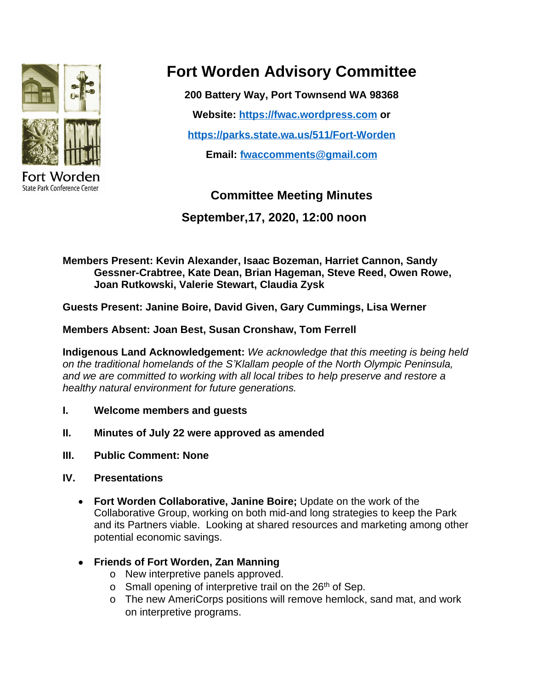

State Park Conference Center

# **Fort Worden Advisory Committee**

**200 Battery Way, Port Townsend WA 98368**

**Website: <https://fwac.wordpress.com> or**

**<https://parks.state.wa.us/511/Fort-Worden>**

**Email: [fwaccomments@gmail.com](mailto:fwaccomments@gmail.com)**

# **Committee Meeting Minutes**

**September,17, 2020, 12:00 noon**

**Members Present: Kevin Alexander, Isaac Bozeman, Harriet Cannon, Sandy Gessner-Crabtree, Kate Dean, Brian Hageman, Steve Reed, Owen Rowe, Joan Rutkowski, Valerie Stewart, Claudia Zysk**

**Guests Present: Janine Boire, David Given, Gary Cummings, Lisa Werner**

**Members Absent: Joan Best, Susan Cronshaw, Tom Ferrell**

**Indigenous Land Acknowledgement:** *We acknowledge that this meeting is being held on the traditional homelands of the S'Klallam people of the North Olympic Peninsula, and we are committed to working with all local tribes to help preserve and restore a healthy natural environment for future generations.*

- **I. Welcome members and guests**
- **II. Minutes of July 22 were approved as amended**
- **III. Public Comment: None**
- **IV. Presentations**
	- **Fort Worden Collaborative, Janine Boire;** Update on the work of the Collaborative Group, working on both mid-and long strategies to keep the Park and its Partners viable. Looking at shared resources and marketing among other potential economic savings.
	- **Friends of Fort Worden, Zan Manning**
		- o New interpretive panels approved.
		- $\circ$  Small opening of interpretive trail on the 26<sup>th</sup> of Sep.
		- o The new AmeriCorps positions will remove hemlock, sand mat, and work on interpretive programs.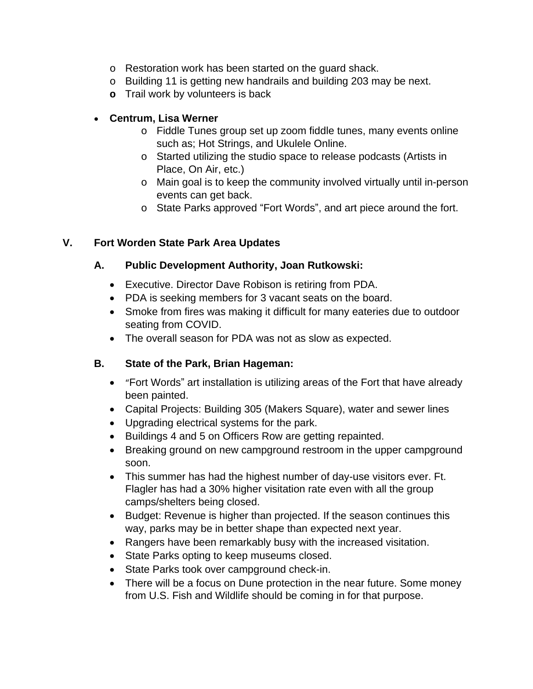- o Restoration work has been started on the guard shack.
- o Building 11 is getting new handrails and building 203 may be next.
- **o** Trail work by volunteers is back

#### **Centrum, Lisa Werner**

- o Fiddle Tunes group set up zoom fiddle tunes, many events online such as; Hot Strings, and Ukulele Online.
- o Started utilizing the studio space to release podcasts (Artists in Place, On Air, etc.)
- o Main goal is to keep the community involved virtually until in-person events can get back.
- o State Parks approved "Fort Words", and art piece around the fort.

#### **V. Fort Worden State Park Area Updates**

#### **A. Public Development Authority, Joan Rutkowski:**

- Executive. Director Dave Robison is retiring from PDA.
- PDA is seeking members for 3 vacant seats on the board.
- Smoke from fires was making it difficult for many eateries due to outdoor seating from COVID.
- The overall season for PDA was not as slow as expected.

## **B. State of the Park, Brian Hageman:**

- "Fort Words" art installation is utilizing areas of the Fort that have already been painted.
- Capital Projects: Building 305 (Makers Square), water and sewer lines
- Upgrading electrical systems for the park.
- Buildings 4 and 5 on Officers Row are getting repainted.
- Breaking ground on new campground restroom in the upper campground soon.
- This summer has had the highest number of day-use visitors ever. Ft. Flagler has had a 30% higher visitation rate even with all the group camps/shelters being closed.
- Budget: Revenue is higher than projected. If the season continues this way, parks may be in better shape than expected next year.
- Rangers have been remarkably busy with the increased visitation.
- State Parks opting to keep museums closed.
- State Parks took over campground check-in.
- There will be a focus on Dune protection in the near future. Some money from U.S. Fish and Wildlife should be coming in for that purpose.